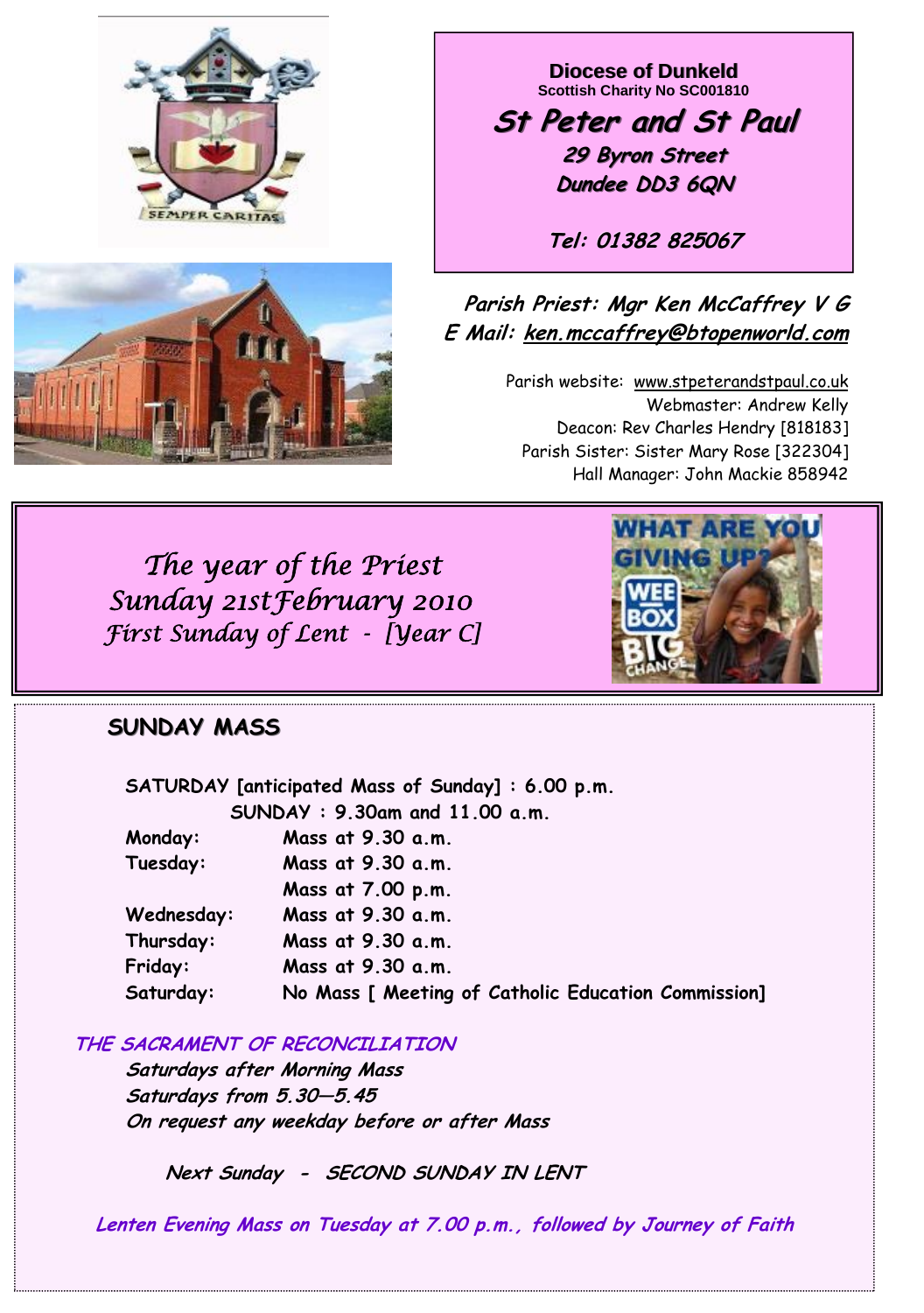



**Diocese of Dunkeld Scottish Charity No SC001810** 

**St Peter and St Paul St Peter and St Paul 29 Byron Street 29 Byron Street Dundee DD3 6QN**

**Tel: 01382 825067**

## **Parish Priest: Mgr Ken McCaffrey V G E Mail: ken.mccaffrey@btopenworld.com**

Parish website: www.stpeterandstpaul.co.uk Webmaster: Andrew Kelly Deacon: Rev Charles Hendry [818183] Parish Sister: Sister Mary Rose [322304] Hall Manager: John Mackie 858942

 *The year of the Priest Sunday 21stFebruary 2010 First Sunday of Lent - [Year C]* 

# **SUNDAY MASS**

|            | SATURDAY [anticipated Mass of Sunday]: 6.00 p.m.    |
|------------|-----------------------------------------------------|
|            | SUNDAY: 9.30am and 11.00 a.m.                       |
| Monday:    | Mass at 9.30 a.m.                                   |
| Tuesday:   | Mass at 9.30 a.m.                                   |
|            | Mass at 7.00 p.m.                                   |
| Wednesday: | Mass at 9.30 a.m.                                   |
| Thursday:  | Mass at 9.30 a.m.                                   |
| Friday:    | Mass at 9.30 a.m.                                   |
| Saturday:  | No Mass [ Meeting of Catholic Education Commission] |

**THE SACRAMENT OF RECONCILIATION**

 **Saturdays after Morning Mass Saturdays from 5.30—5.45 On request any weekday before or after Mass** 

 **Next Sunday - SECOND SUNDAY IN LENT** 

**Lenten Evening Mass on Tuesday at 7.00 p.m., followed by Journey of Faith** 

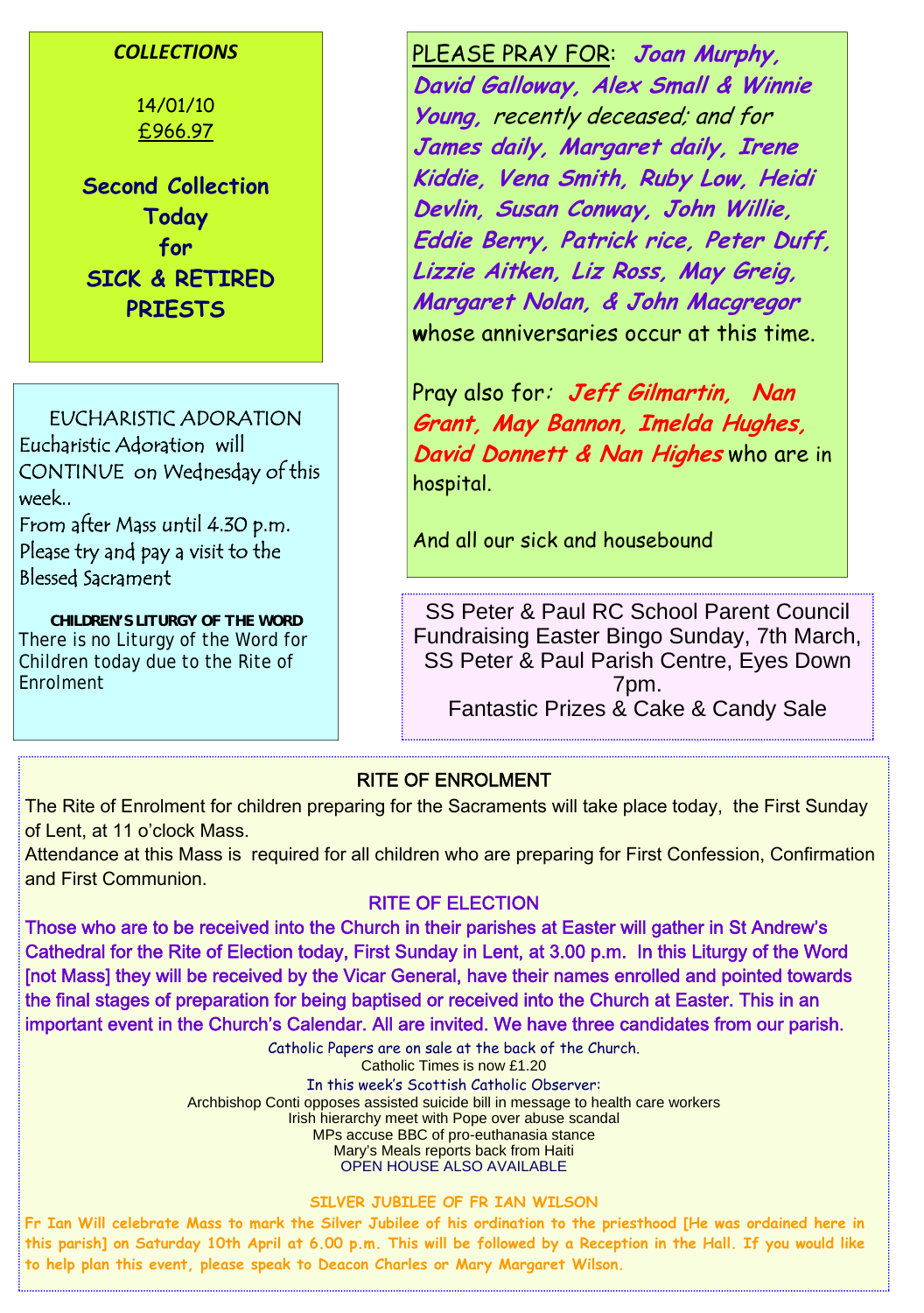### *COLLECTIONS*

14/01/10 £966.97

**Second Collection Today for SICK & RETIRED PRIESTS**

EUCHARISTIC ADORATION Eucharistic Adoration will CONTINUE on Wednesday of this week..

From after Mass until 4.30 p.m. Please try and pay a visit to the Blessed Sacrament

*CHILDREN'S LITURGY OF THE WORD*  There is no Liturgy of the Word for Children today due to the Rite of Enrolment

PLEASE PRAY FOR: **Joan Murphy, David Galloway, Alex Small & Winnie Young,** recently deceased; and for **James daily, Margaret daily, Irene Kiddie, Vena Smith, Ruby Low, Heidi Devlin, Susan Conway, John Willie, Eddie Berry, Patrick rice, Peter Duff, Lizzie Aitken, Liz Ross, May Greig, Margaret Nolan, & John Macgregor w**hose anniversaries occur at this time.

Pray also for: **Jeff Gilmartin, Nan Grant, May Bannon, Imelda Hughes, David Donnett & Nan Highes** who are in hospital.

And all our sick and housebound

SS Peter & Paul RC School Parent Council Fundraising Easter Bingo Sunday, 7th March, SS Peter & Paul Parish Centre, Eyes Down 7pm. Fantastic Prizes & Cake & Candy Sale

### RITE OF ENROLMENT

The Rite of Enrolment for children preparing for the Sacraments will take place today, the First Sunday of Lent, at 11 o'clock Mass.

Attendance at this Mass is required for all children who are preparing for First Confession, Confirmation and First Communion.

### RITE OF ELECTION

Those who are to be received into the Church in their parishes at Easter will gather in St Andrew's Cathedral for the Rite of Election today, First Sunday in Lent, at 3.00 p.m. In this Liturgy of the Word [not Mass] they will be received by the Vicar General, have their names enrolled and pointed towards the final stages of preparation for being baptised or received into the Church at Easter. This in an important event in the Church's Calendar. All are invited. We have three candidates from our parish.

> Catholic Papers are on sale at the back of the Church. Catholic Times is now £1.20 In this week's Scottish Catholic Observer: Archbishop Conti opposes assisted suicide bill in message to health care workers Irish hierarchy meet with Pope over abuse scandal MPs accuse BBC of pro-euthanasia stance Mary's Meals reports back from Haiti OPEN HOUSE ALSO AVAILABLE

#### **SILVER JUBILEE OF FR IAN WILSON**

**Fr Ian Will celebrate Mass to mark the Silver Jubilee of his ordination to the priesthood [He was ordained here in this parish] on Saturday 10th April at 6.00 p.m. This will be followed by a Reception in the Hall. If you would like to help plan this event, please speak to Deacon Charles or Mary Margaret Wilson.**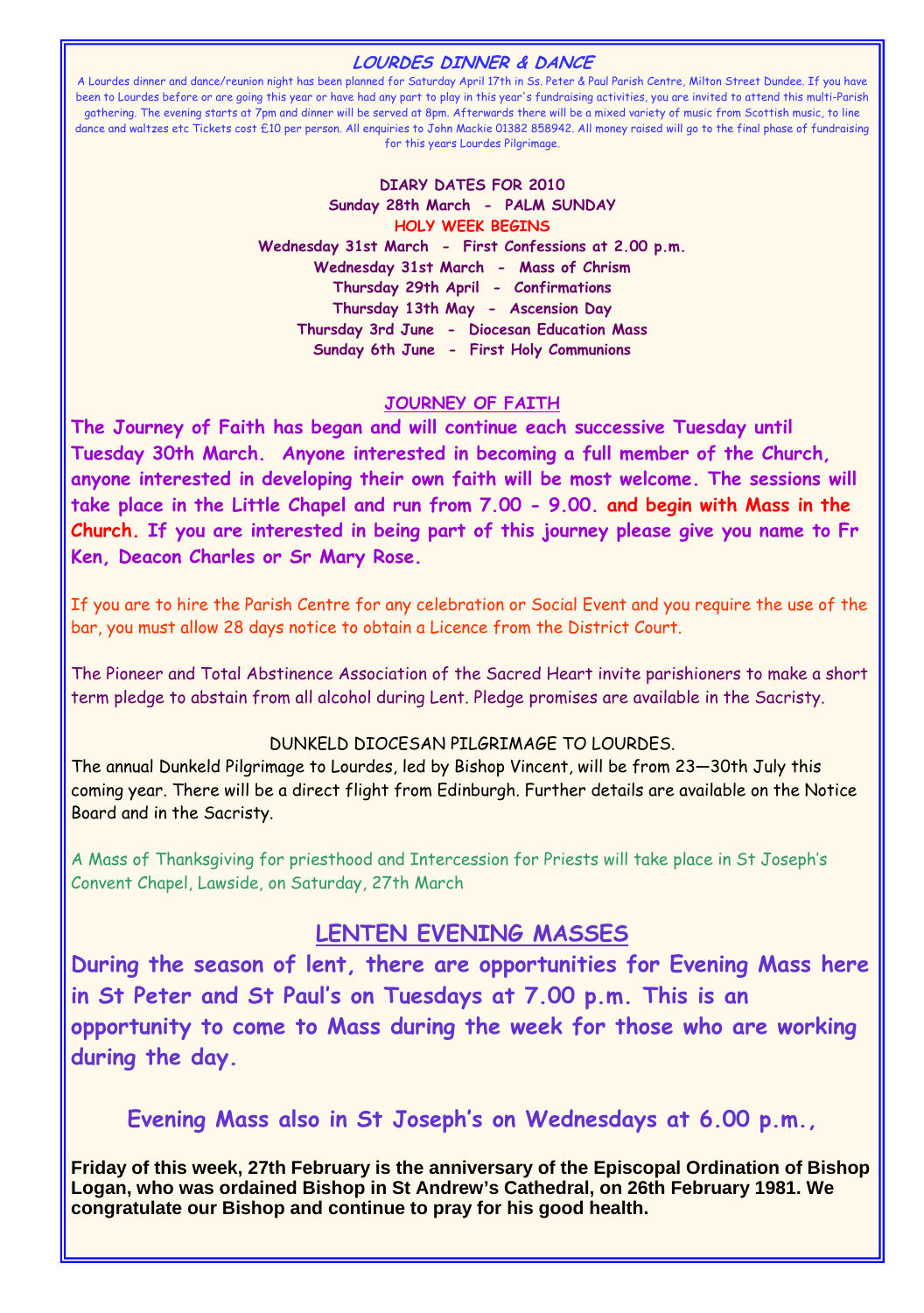#### **LOURDES DINNER & DANCE**

A Lourdes dinner and dance/reunion night has been planned for Saturday April 17th in Ss. Peter & Paul Parish Centre, Milton Street Dundee. If you have been to Lourdes before or are going this year or have had any part to play in this year's fundraising activities, you are invited to attend this multi-Parish gathering. The evening starts at 7pm and dinner will be served at 8pm. Afterwards there will be a mixed variety of music from Scottish music, to line dance and waltzes etc Tickets cost £10 per person. All enquiries to John Mackie 01382 858942. All money raised will go to the final phase of fundraising for this years Lourdes Pilgrimage.

#### **DIARY DATES FOR 2010 Sunday 28th March - PALM SUNDAY HOLY WEEK BEGINS Wednesday 31st March - First Confessions at 2.00 p.m. Wednesday 31st March - Mass of Chrism Thursday 29th April - Confirmations Thursday 13th May - Ascension Day Thursday 3rd June - Diocesan Education Mass Sunday 6th June - First Holy Communions**

#### **JOURNEY OF FAITH**

**The Journey of Faith has began and will continue each successive Tuesday until Tuesday 30th March. Anyone interested in becoming a full member of the Church, anyone interested in developing their own faith will be most welcome. The sessions will take place in the Little Chapel and run from 7.00 - 9.00. and begin with Mass in the Church. If you are interested in being part of this journey please give you name to Fr Ken, Deacon Charles or Sr Mary Rose.** 

If you are to hire the Parish Centre for any celebration or Social Event and you require the use of the bar, you must allow 28 days notice to obtain a Licence from the District Court.

The Pioneer and Total Abstinence Association of the Sacred Heart invite parishioners to make a short term pledge to abstain from all alcohol during Lent. Pledge promises are available in the Sacristy.

### DUNKELD DIOCESAN PILGRIMAGE TO LOURDES.

The annual Dunkeld Pilgrimage to Lourdes, led by Bishop Vincent, will be from 23—30th July this coming year. There will be a direct flight from Edinburgh. Further details are available on the Notice Board and in the Sacristy.

A Mass of Thanksgiving for priesthood and Intercession for Priests will take place in St Joseph's Convent Chapel, Lawside, on Saturday, 27th March

### **LENTEN EVENING MASSES**

**During the season of lent, there are opportunities for Evening Mass here in St Peter and St Paul's on Tuesdays at 7.00 p.m. This is an opportunity to come to Mass during the week for those who are working during the day.** 

### **Evening Mass also in St Joseph's on Wednesdays at 6.00 p.m.,**

**Friday of this week, 27th February is the anniversary of the Episcopal Ordination of Bishop Logan, who was ordained Bishop in St Andrew's Cathedral, on 26th February 1981. We congratulate our Bishop and continue to pray for his good health.**